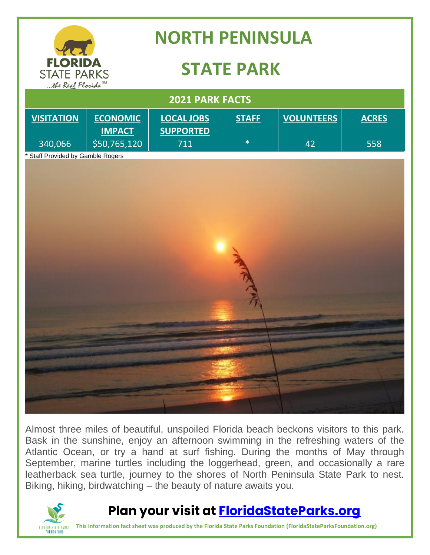

Almost three miles of beautiful, unspoiled Florida beach beckons visitors to this park. Bask in the sunshine, enjoy an afternoon swimming in the refreshing waters of the Atlantic Ocean, or try a hand at surf fishing. During the months of May through September, marine turtles including the loggerhead, green, and occasionally a rare leatherback sea turtle, journey to the shores of North Peninsula State Park to nest. Biking, hiking, birdwatching – the beauty of nature awaits you.



### **Plan your visit at [FloridaStateParks.org](http://www.floridastateparks.org/)**

**This information fact sheet was produced by the Florida State Parks Foundation (FloridaStateParksFoundation.org)**